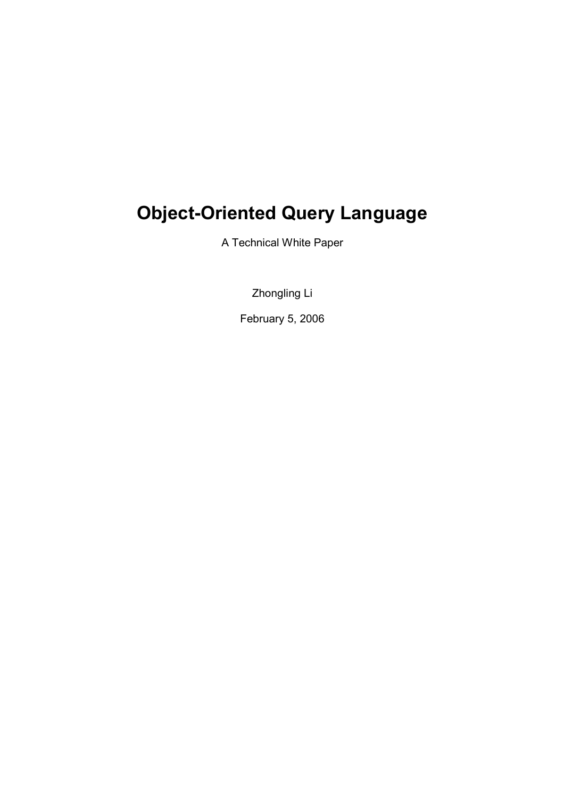# Object-Oriented Query Language

A Technical White Paper

Zhongling Li

February 5, 2006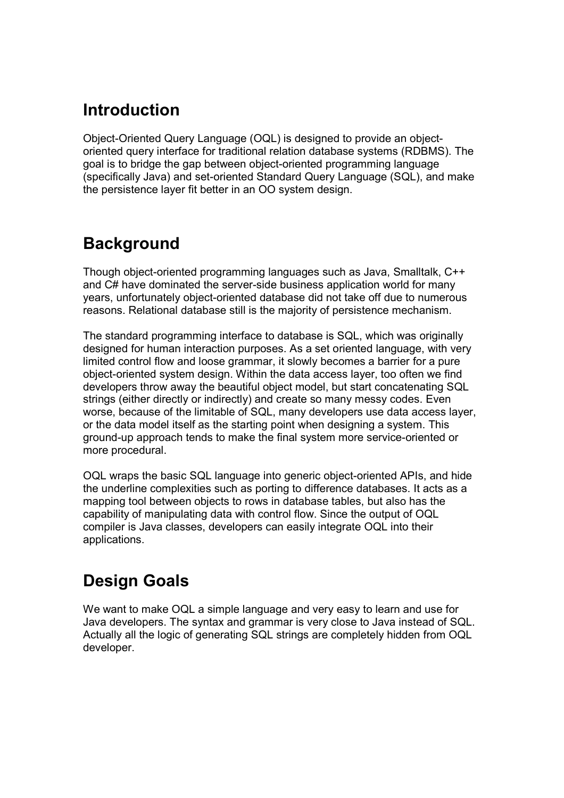## Introduction

Object-Oriented Query Language (OQL) is designed to provide an objectoriented query interface for traditional relation database systems (RDBMS). The goal is to bridge the gap between object-oriented programming language (specifically Java) and set-oriented Standard Query Language (SQL), and make the persistence layer fit better in an OO system design.

## **Background**

Though object-oriented programming languages such as Java, Smalltalk, C++ and C# have dominated the server-side business application world for many years, unfortunately object-oriented database did not take off due to numerous reasons. Relational database still is the majority of persistence mechanism.

The standard programming interface to database is SQL, which was originally designed for human interaction purposes. As a set oriented language, with very limited control flow and loose grammar, it slowly becomes a barrier for a pure object-oriented system design. Within the data access layer, too often we find developers throw away the beautiful object model, but start concatenating SQL strings (either directly or indirectly) and create so many messy codes. Even worse, because of the limitable of SQL, many developers use data access layer, or the data model itself as the starting point when designing a system. This ground-up approach tends to make the final system more service-oriented or more procedural.

OQL wraps the basic SQL language into generic object-oriented APIs, and hide the underline complexities such as porting to difference databases. It acts as a mapping tool between objects to rows in database tables, but also has the capability of manipulating data with control flow. Since the output of OQL compiler is Java classes, developers can easily integrate OQL into their applications.

## Design Goals

We want to make OQL a simple language and very easy to learn and use for Java developers. The syntax and grammar is very close to Java instead of SQL. Actually all the logic of generating SQL strings are completely hidden from OQL developer.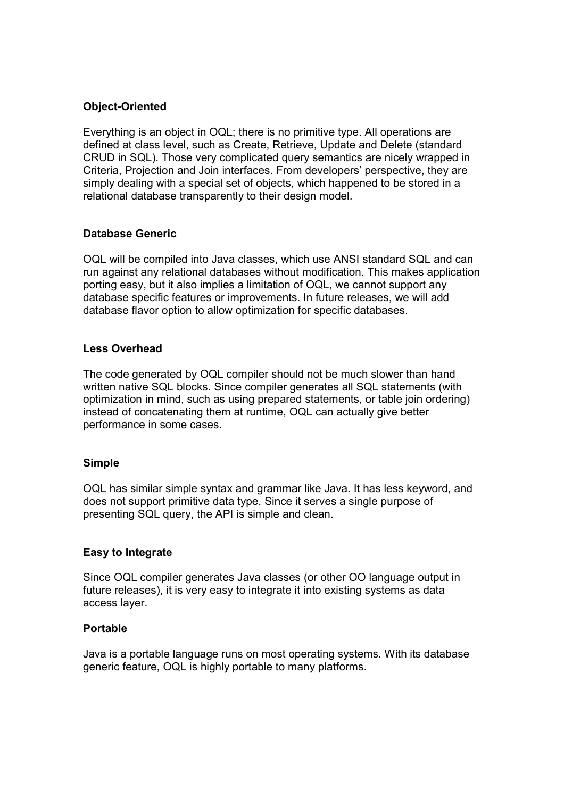#### Object-Oriented

Everything is an object in OQL; there is no primitive type. All operations are defined at class level, such as Create, Retrieve, Update and Delete (standard CRUD in SQL). Those very complicated query semantics are nicely wrapped in Criteria, Projection and Join interfaces. From developers' perspective, they are simply dealing with a special set of objects, which happened to be stored in a relational database transparently to their design model.

#### Database Generic

OQL will be compiled into Java classes, which use ANSI standard SQL and can run against any relational databases without modification. This makes application porting easy, but it also implies a limitation of OQL, we cannot support any database specific features or improvements. In future releases, we will add database flavor option to allow optimization for specific databases.

#### Less Overhead

The code generated by OQL compiler should not be much slower than hand written native SQL blocks. Since compiler generates all SQL statements (with optimization in mind, such as using prepared statements, or table join ordering) instead of concatenating them at runtime, OQL can actually give better performance in some cases.

#### Simple

OQL has similar simple syntax and grammar like Java. It has less keyword, and does not support primitive data type. Since it serves a single purpose of presenting SQL query, the API is simple and clean.

#### Easy to Integrate

Since OQL compiler generates Java classes (or other OO language output in future releases), it is very easy to integrate it into existing systems as data access layer.

#### Portable

Java is a portable language runs on most operating systems. With its database generic feature, OQL is highly portable to many platforms.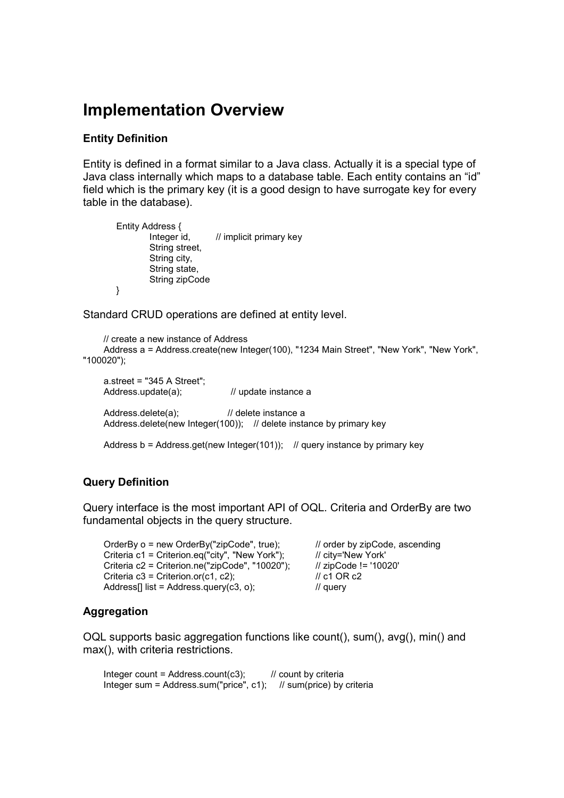### Implementation Overview

#### Entity Definition

Entity is defined in a format similar to a Java class. Actually it is a special type of Java class internally which maps to a database table. Each entity contains an "id" field which is the primary key (it is a good design to have surrogate key for every table in the database).

Entity Address {  $\frac{1}{2}$  implicit primary key String street, String city, String state, String zipCode }

Standard CRUD operations are defined at entity level.

```
 // create a new instance of Address 
      Address a = Address.create(new Integer(100), "1234 Main Street", "New York", "New York", 
"100020");
```

```
 a.street = "345 A Street"; 
Address.update(a); // update instance a
Address.delete(a); // delete instance a
Address.delete(new Integer(100)); // delete instance by primary key
Address b = Address.get(new Integer(101)); // query instance by primary key
```
#### Query Definition

Query interface is the most important API of OQL. Criteria and OrderBy are two fundamental objects in the query structure.

 OrderBy o = new OrderBy("zipCode", true); // order by zipCode, ascending Criteria c1 = Criterion.eq("city", "New York"); // city='New York' Criteria c2 = Criterion.ne("zipCode", "10020");  $\frac{1}{2}$  // zipCode != '10020' Criteria  $c3 =$  Criterion.or( $c1$ ,  $c2$ );  $\angle$  //  $c1$  OR  $c2$ Address[] list = Address.query(c3, o);  $\frac{1}{2}$  query

#### Aggregation

OQL supports basic aggregation functions like count(), sum(), avg(), min() and max(), with criteria restrictions.

Integer count = Address.count(c3);  $\frac{1}{2}$  count by criteria Integer sum = Address.sum("price", c1); // sum(price) by criteria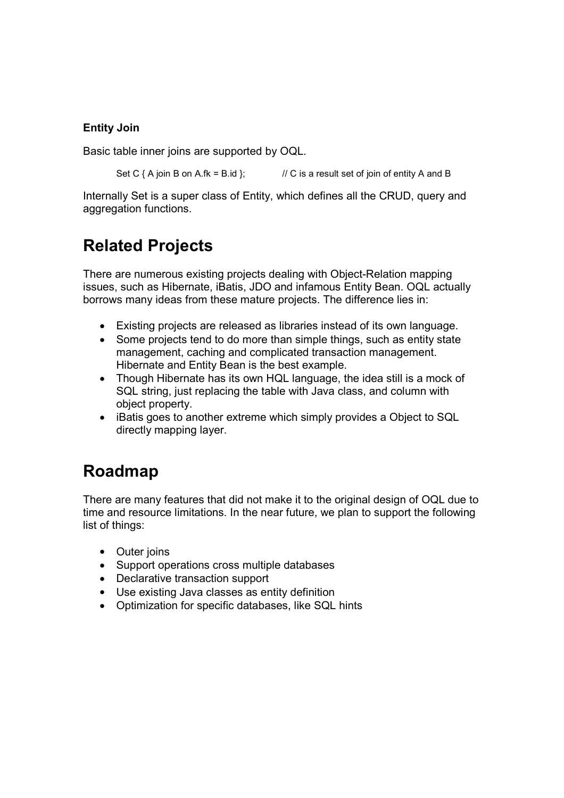#### Entity Join

Basic table inner joins are supported by OQL.

Set C  $\{ A$  join B on A.fk = B.id  $\}$ ; // C is a result set of join of entity A and B

Internally Set is a super class of Entity, which defines all the CRUD, query and aggregation functions.

## Related Projects

There are numerous existing projects dealing with Object-Relation mapping issues, such as Hibernate, iBatis, JDO and infamous Entity Bean. OQL actually borrows many ideas from these mature projects. The difference lies in:

- Existing projects are released as libraries instead of its own language.
- Some projects tend to do more than simple things, such as entity state management, caching and complicated transaction management. Hibernate and Entity Bean is the best example.
- Though Hibernate has its own HQL language, the idea still is a mock of SQL string, just replacing the table with Java class, and column with object property.
- iBatis goes to another extreme which simply provides a Object to SQL directly mapping layer.

## Roadmap

There are many features that did not make it to the original design of OQL due to time and resource limitations. In the near future, we plan to support the following list of things:

- Outer joins
- Support operations cross multiple databases
- Declarative transaction support
- Use existing Java classes as entity definition
- Optimization for specific databases, like SQL hints